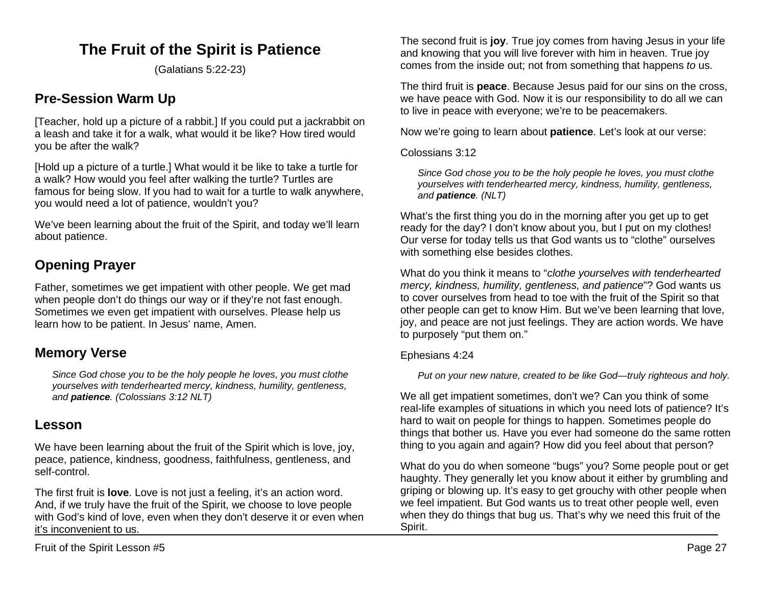# **The Fruit of the Spirit is Patience**

(Galatians 5:22-23)

## **Pre-Session Warm Up**

[Teacher, hold up a picture of a rabbit.] If you could put a jackrabbit on a leash and take it for a walk, what would it be like? How tired would you be after the walk?

[Hold up a picture of a turtle.] What would it be like to take a turtle for a walk? How would you feel after walking the turtle? Turtles are famous for being slow. If you had to wait for a turtle to walk anywhere, you would need a lot of patience, wouldn't you?

We've been learning about the fruit of the Spirit, and today we'll learn about patience.

## **Opening Prayer**

Father, sometimes we get impatient with other people. We get mad when people don't do things our way or if they're not fast enough. Sometimes we even get impatient with ourselves. Please help us learn how to be patient. In Jesus' name, Amen.

## **Memory Verse**

*Since God chose you to be the holy people he loves, you must clothe yourselves with tenderhearted mercy, kindness, humility, gentleness, and patience. (Colossians 3:12 NLT)*

## **Lesson**

We have been learning about the fruit of the Spirit which is love, joy, peace, patience, kindness, goodness, faithfulness, gentleness, and self-control.

The first fruit is **love**. Love is not just a feeling, it's an action word. And, if we truly have the fruit of the Spirit, we choose to love people with God's kind of love, even when they don't deserve it or even when it's inconvenient to us.

The second fruit is **joy**. True joy comes from having Jesus in your life and knowing that you will live forever with him in heaven. True joy comes from the inside out; not from something that happens *to* us.

The third fruit is **peace**. Because Jesus paid for our sins on the cross, we have peace with God. Now it is our responsibility to do all we can to live in peace with everyone; we're to be peacemakers.

Now we're going to learn about **patience**. Let's look at our verse:

Colossians 3:12

*Since God chose you to be the holy people he loves, you must clothe yourselves with tenderhearted mercy, kindness, humility, gentleness, and patience. (NLT)*

What's the first thing you do in the morning after you get up to get ready for the day? I don't know about you, but I put on my clothes! Our verse for today tells us that God wants us to "clothe" ourselves with something else besides clothes.

What do you think it means to "*clothe yourselves with tenderhearted mercy, kindness, humility, gentleness, and patience*"? God wants us to cover ourselves from head to toe with the fruit of the Spirit so that other people can get to know Him. But we've been learning that love, joy, and peace are not just feelings. They are action words. We have to purposely "put them on."

### Ephesians 4:24

*Put on your new nature, created to be like God—truly righteous and holy.*

We all get impatient sometimes, don't we? Can you think of some real-life examples of situations in which you need lots of patience? It's hard to wait on people for things to happen. Sometimes people do things that bother us. Have you ever had someone do the same rotten thing to you again and again? How did you feel about that person?

What do you do when someone "bugs" you? Some people pout or get haughty. They generally let you know about it either by grumbling and griping or blowing up. It's easy to get grouchy with other people when we feel impatient. But God wants us to treat other people well, even when they do things that bug us. That's why we need this fruit of the Spirit.

Fruit of the Spirit Lesson #5 Page 27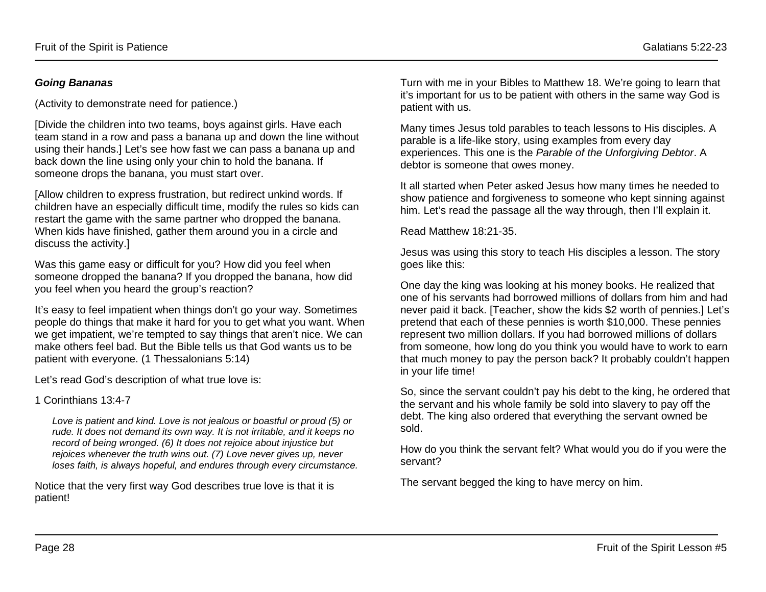### *Going Bananas*

(Activity to demonstrate need for patience.)

[Divide the children into two teams, boys against girls. Have each team stand in a row and pass a banana up and down the line without using their hands.] Let's see how fast we can pass a banana up and back down the line using only your chin to hold the banana. If someone drops the banana, you must start over.

[Allow children to express frustration, but redirect unkind words. If children have an especially difficult time, modify the rules so kids can restart the game with the same partner who dropped the banana. When kids have finished, gather them around you in a circle and discuss the activity.]

Was this game easy or difficult for you? How did you feel when someone dropped the banana? If you dropped the banana, how did you feel when you heard the group's reaction?

It's easy to feel impatient when things don't go your way. Sometimes people do things that make it hard for you to get what you want. When we get impatient, we're tempted to say things that aren't nice. We can make others feel bad. But the Bible tells us that God wants us to be patient with everyone. (1 Thessalonians 5:14)

Let's read God's description of what true love is:

### 1 Corinthians 13:4-7

*Love is patient and kind. Love is not jealous or boastful or proud (5) or rude. It does not demand its own way. It is not irritable, and it keeps no record of being wronged. (6) It does not rejoice about injustice but rejoices whenever the truth wins out. (7) Love never gives up, never loses faith, is always hopeful, and endures through every circumstance.*

Notice that the very first way God describes true love is that it is patient!

Turn with me in your Bibles to Matthew 18. We're going to learn that it's important for us to be patient with others in the same way God is patient with us.

Many times Jesus told parables to teach lessons to His disciples. A parable is a life-like story, using examples from every day experiences. This one is the *Parable of the Unforgiving Debtor*. A debtor is someone that owes money.

It all started when Peter asked Jesus how many times he needed to show patience and forgiveness to someone who kept sinning against him. Let's read the passage all the way through, then I'll explain it.

Read Matthew 18:21-35.

Jesus was using this story to teach His disciples a lesson. The story goes like this:

One day the king was looking at his money books. He realized that one of his servants had borrowed millions of dollars from him and had never paid it back. [Teacher, show the kids \$2 worth of pennies.] Let's pretend that each of these pennies is worth \$10,000. These pennies represent two million dollars. If you had borrowed millions of dollars from someone, how long do you think you would have to work to earn that much money to pay the person back? It probably couldn't happen in your life time!

So, since the servant couldn't pay his debt to the king, he ordered that the servant and his whole family be sold into slavery to pay off the debt. The king also ordered that everything the servant owned be sold.

How do you think the servant felt? What would you do if you were the servant?

The servant begged the king to have mercy on him.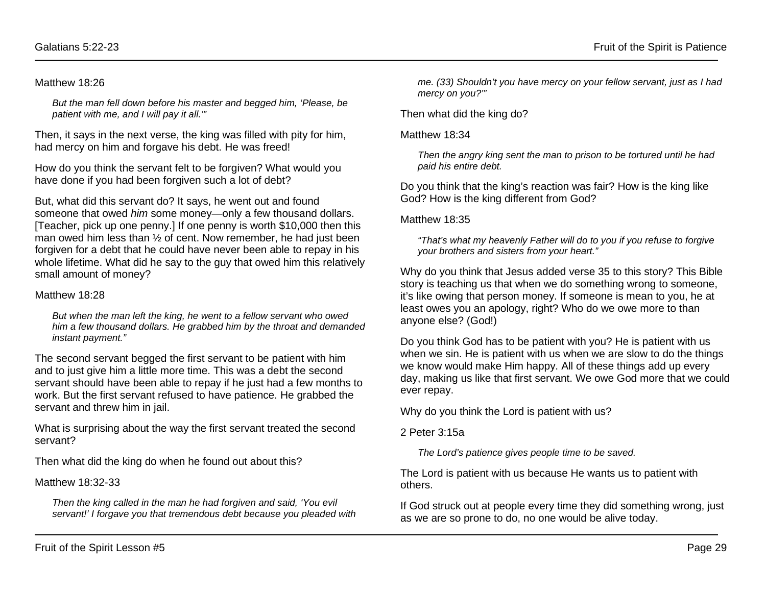#### Matthew 18:26

*But the man fell down before his master and begged him, 'Please, be patient with me, and I will pay it all.'"* 

Then, it says in the next verse, the king was filled with pity for him, had mercy on him and forgave his debt. He was freed!

How do you think the servant felt to be forgiven? What would you have done if you had been forgiven such a lot of debt?

But, what did this servant do? It says, he went out and found someone that owed *him* some money—only a few thousand dollars. [Teacher, pick up one penny.] If one penny is worth \$10,000 then this man owed him less than ½ of cent. Now remember, he had just been forgiven for a debt that he could have never been able to repay in his whole lifetime. What did he say to the guy that owed him this relatively small amount of money?

#### Matthew 18:28

*But when the man left the king, he went to a fellow servant who owed him a few thousand dollars. He grabbed him by the throat and demanded instant payment."*

The second servant begged the first servant to be patient with him and to just give him a little more time. This was a debt the second servant should have been able to repay if he just had a few months to work. But the first servant refused to have patience. He grabbed the servant and threw him in jail.

What is surprising about the way the first servant treated the second servant?

Then what did the king do when he found out about this?

Matthew 18:32-33

*Then the king called in the man he had forgiven and said, 'You evil servant!' I forgave you that tremendous debt because you pleaded with* 

*me. (33) Shouldn't you have mercy on your fellow servant, just as I had mercy on you?'"*

Then what did the king do?

Matthew 18:34

*Then the angry king sent the man to prison to be tortured until he had paid his entire debt.*

Do you think that the king's reaction was fair? How is the king like God? How is the king different from God?

Matthew 18:35

*"That's what my heavenly Father will do to you if you refuse to forgive your brothers and sisters from your heart."*

Why do you think that Jesus added verse 35 to this story? This Bible story is teaching us that when we do something wrong to someone, it's like owing that person money. If someone is mean to you, he at least owes you an apology, right? Who do we owe more to than anyone else? (God!)

Do you think God has to be patient with you? He is patient with us when we sin. He is patient with us when we are slow to do the things we know would make Him happy. All of these things add up every day, making us like that first servant. We owe God more that we could ever repay.

Why do you think the Lord is patient with us?

2 Peter 3:15a

*The Lord's patience gives people time to be saved.*

The Lord is patient with us because He wants us to patient with others.

If God struck out at people every time they did something wrong, just as we are so prone to do, no one would be alive today.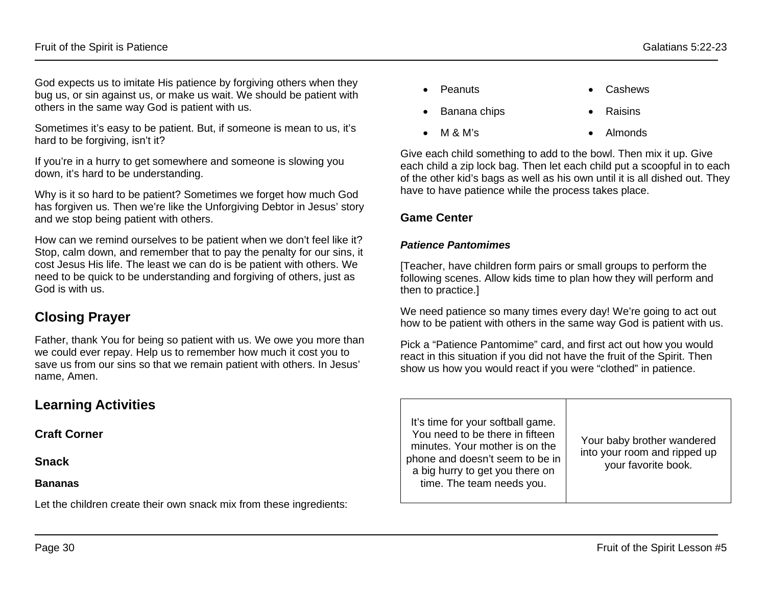God expects us to imitate His patience by forgiving others when they bug us, or sin against us, or make us wait. We should be patient with others in the same way God is patient with us.

Sometimes it's easy to be patient. But, if someone is mean to us, it's hard to be forgiving, isn't it?

If you're in a hurry to get somewhere and someone is slowing you down, it's hard to be understanding.

Why is it so hard to be patient? Sometimes we forget how much God has forgiven us. Then we're like the Unforgiving Debtor in Jesus' story and we stop being patient with others.

How can we remind ourselves to be patient when we don't feel like it? Stop, calm down, and remember that to pay the penalty for our sins, it cost Jesus His life. The least we can do is be patient with others. We need to be quick to be understanding and forgiving of others, just as God is with us.

## **Closing Prayer**

Father, thank You for being so patient with us. We owe you more than we could ever repay. Help us to remember how much it cost you to save us from our sins so that we remain patient with others. In Jesus' name, Amen.

## **Learning Activities**

**Craft Corner** 

**Snack**

### **Bananas**

Let the children create their own snack mix from these ingredients:

- Peanuts Cashews
- Banana chips Raisins
- $M \& M's$  Almonds

Give each child something to add to the bowl. Then mix it up. Give each child a zip lock bag. Then let each child put a scoopful in to each of the other kid's bags as well as his own until it is all dished out. They have to have patience while the process takes place.

### **Game Center**

### *Patience Pantomimes*

[Teacher, have children form pairs or small groups to perform the following scenes. Allow kids time to plan how they will perform and then to practice.]

We need patience so many times every day! We're going to act out how to be patient with others in the same way God is patient with us.

Pick a "Patience Pantomime" card, and first act out how you would react in this situation if you did not have the fruit of the Spirit. Then show us how you would react if you were "clothed" in patience.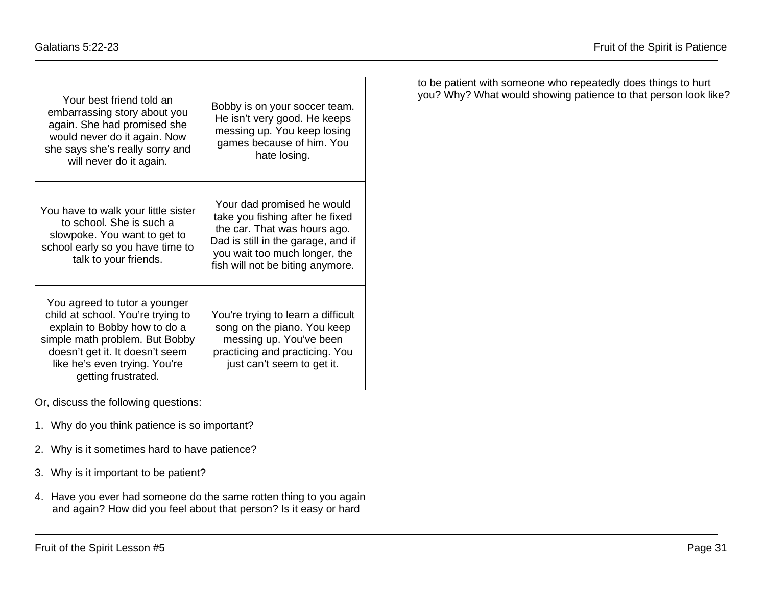| Your best friend told an<br>embarrassing story about you<br>again. She had promised she<br>would never do it again. Now<br>she says she's really sorry and<br>will never do it again.                                           | Bobby is on your soccer team.<br>He isn't very good. He keeps<br>messing up. You keep losing<br>games because of him. You<br>hate losing.                                                                |
|---------------------------------------------------------------------------------------------------------------------------------------------------------------------------------------------------------------------------------|----------------------------------------------------------------------------------------------------------------------------------------------------------------------------------------------------------|
| You have to walk your little sister<br>to school. She is such a<br>slowpoke. You want to get to<br>school early so you have time to<br>talk to your friends.                                                                    | Your dad promised he would<br>take you fishing after he fixed<br>the car. That was hours ago.<br>Dad is still in the garage, and if<br>you wait too much longer, the<br>fish will not be biting anymore. |
| You agreed to tutor a younger<br>child at school. You're trying to<br>explain to Bobby how to do a<br>simple math problem. But Bobby<br>doesn't get it. It doesn't seem<br>like he's even trying. You're<br>getting frustrated. | You're trying to learn a difficult<br>song on the piano. You keep<br>messing up. You've been<br>practicing and practicing. You<br>just can't seem to get it.                                             |

Or, discuss the following questions:

- 1. Why do you think patience is so important?
- 2. Why is it sometimes hard to have patience?
- 3. Why is it important to be patient?
- 4. Have you ever had someone do the same rotten thing to you again and again? How did you feel about that person? Is it easy or hard